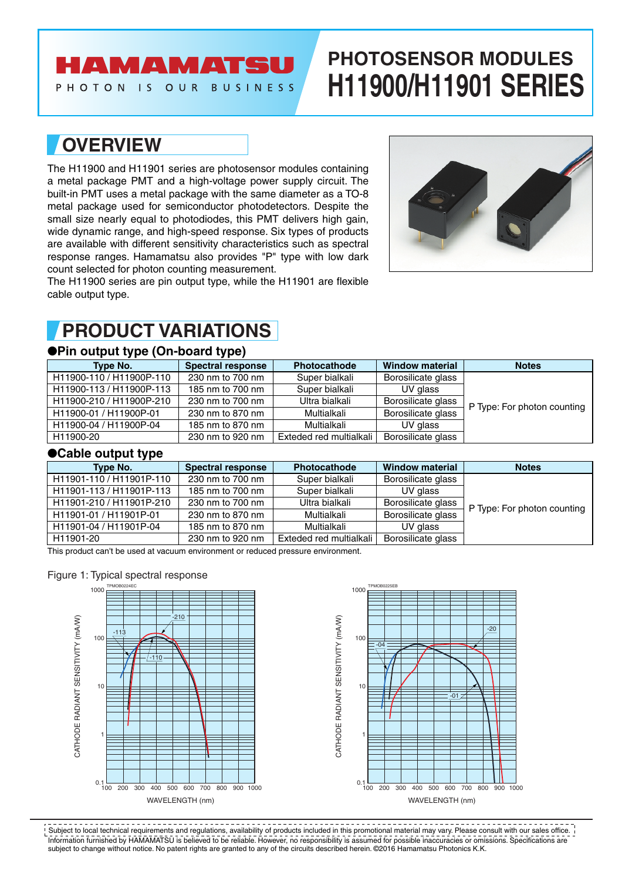# **AMAMATS**

PHOTON IS OUR BUSINESS

# **PHOTOSENSOR MODULES H11900/H11901 SERIES**

### **OVERVIEW**

The H11900 and H11901 series are photosensor modules containing a metal package PMT and a high-voltage power supply circuit. The built-in PMT uses a metal package with the same diameter as a TO-8 metal package used for semiconductor photodetectors. Despite the small size nearly equal to photodiodes, this PMT delivers high gain, wide dynamic range, and high-speed response. Six types of products are available with different sensitivity characteristics such as spectral response ranges. Hamamatsu also provides "P" type with low dark count selected for photon counting measurement.

The H11900 series are pin output type, while the H11901 are flexible cable output type.



### **PRODUCT VARIATIONS**

### ●**Pin output type (On-board type)**

| Type No.                 | <b>Spectral response</b> | <b>Photocathode</b>     | <b>Window material</b> | <b>Notes</b>                |
|--------------------------|--------------------------|-------------------------|------------------------|-----------------------------|
| H11900-110 / H11900P-110 | 230 nm to 700 nm         | Super bialkali          | Borosilicate glass     |                             |
| H11900-113 / H11900P-113 | 185 nm to 700 nm         | Super bialkali          | UV glass               |                             |
| H11900-210 / H11900P-210 | 230 nm to 700 nm         | Ultra bialkali          | Borosilicate glass     | P Type: For photon counting |
| H11900-01 / H11900P-01   | 230 nm to 870 nm         | Multialkali             | Borosilicate glass     |                             |
| H11900-04 / H11900P-04   | 185 nm to 870 nm         | Multialkali             | UV glass               |                             |
| H11900-20                | 230 nm to 920 nm         | Exteded red multialkali | Borosilicate glass     |                             |

### ●**Cable output type**

| Type No.                 | <b>Spectral response</b> | <b>Photocathode</b>     | <b>Window material</b> | <b>Notes</b>                |  |  |
|--------------------------|--------------------------|-------------------------|------------------------|-----------------------------|--|--|
| H11901-110 / H11901P-110 | 230 nm to 700 nm         | Super bialkali          | Borosilicate glass     |                             |  |  |
| H11901-113 / H11901P-113 | 185 nm to 700 nm         | Super bialkali          | UV glass               |                             |  |  |
| H11901-210 / H11901P-210 | 230 nm to 700 nm         | Ultra bialkali          | Borosilicate glass     | P Type: For photon counting |  |  |
| H11901-01 / H11901P-01   | 230 nm to 870 nm         | Multialkali             | Borosilicate glass     |                             |  |  |
| H11901-04 / H11901P-04   | 185 nm to 870 nm         | Multialkali             | UV glass               |                             |  |  |
| H11901-20                | 230 nm to 920 nm         | Exteded red multialkali | Borosilicate glass     |                             |  |  |

This product can't be used at vacuum environment or reduced pressure environment.

#### Figure 1: Typical spectral response





Information furnished by HAMAMATSU is believed to be reliable. However, no responsibility is assumed for possible inaccuracies or omissions. Specifications are subject to change without notice. No patent rights are granted to any of the circuits described herein. ©2016 Hamamatsu Photonics K.K. Subject to local technical requirements and regulations, availability of products included in this promotional material may vary. Please consult with our sales office.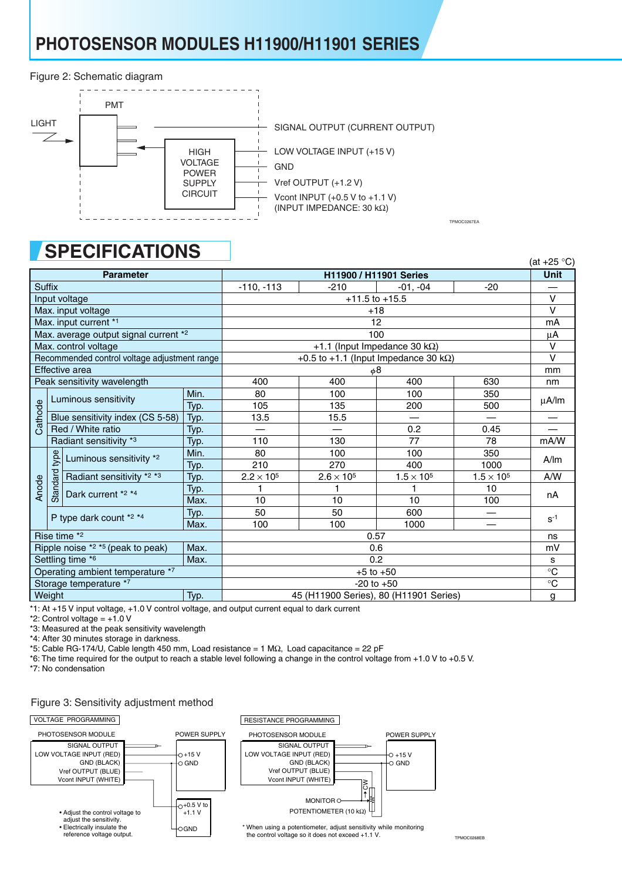# **PHOTOSENSOR MODULES H11900/H11901 SERIES**

#### Figure 2: Schematic diagram



# **SPECIFICATIONS**

|                                                                |      | U. EVII<br>17/11/7117                         |        |                                        |                   |                                       |                     | (at $+25$ °C) |
|----------------------------------------------------------------|------|-----------------------------------------------|--------|----------------------------------------|-------------------|---------------------------------------|---------------------|---------------|
|                                                                |      | <b>Parameter</b>                              |        |                                        |                   | <b>H11900 / H11901 Series</b>         |                     | <b>Unit</b>   |
| <b>Suffix</b>                                                  |      | $-110, -113$                                  | $-210$ | $-01, -04$                             | $-20$             |                                       |                     |               |
| Input voltage                                                  |      | $+11.5$ to $+15.5$                            |        |                                        |                   |                                       |                     |               |
| Max. input voltage                                             |      | $+18$                                         |        |                                        |                   |                                       |                     |               |
|                                                                |      | Max. input current *1                         |        | 12                                     |                   |                                       |                     |               |
| Max. average output signal current *2<br>Max. control voltage  |      | 100                                           |        |                                        |                   |                                       |                     |               |
|                                                                |      |                                               |        |                                        |                   | +1.1 (Input Impedance 30 k $\Omega$ ) |                     | $\vee$        |
| Recommended control voltage adjustment range<br>Effective area |      | +0.5 to +1.1 (lnput Impedance 30 k $\Omega$ ) | $\vee$ |                                        |                   |                                       |                     |               |
|                                                                |      |                                               |        |                                        |                   | φ8                                    |                     | mm            |
|                                                                |      | Peak sensitivity wavelength                   |        | 400                                    | 400               | 400                                   | 630                 | nm            |
|                                                                |      | Luminous sensitivity                          | Min.   | 80                                     | 100               | 100                                   | 350                 | μA/lm         |
| Cathode                                                        |      |                                               | Typ.   | 105                                    | 135               | 200                                   | 500                 |               |
|                                                                |      | Blue sensitivity index (CS 5-58)              | Typ.   | 13.5                                   | 15.5              |                                       |                     |               |
|                                                                |      | Red / White ratio                             | Typ.   |                                        |                   | 0.2                                   | 0.45                |               |
|                                                                |      | Radiant sensitivity *3                        | Typ.   | 110                                    | 130               | 77                                    | 78                  | mA/W          |
|                                                                | type | Luminous sensitivity *2                       | Min.   | 80                                     | 100               | 100                                   | 350                 | A/m           |
|                                                                |      |                                               | Typ.   | 210                                    | 270               | 400                                   | 1000                |               |
|                                                                |      | Radiant sensitivity *2 *3                     | Typ.   | $2.2 \times 10^5$                      | $2.6 \times 10^5$ | $1.5 \times 10^5$                     | $1.5 \times 10^{5}$ | A/W           |
| Anode                                                          |      |                                               | Typ.   |                                        |                   | 1                                     | 10                  | nA            |
|                                                                |      | Standard<br>Dark current *2 *4                | Max.   | 10                                     | 10                | 10                                    | 100                 |               |
|                                                                |      | P type dark count *2 *4                       | Typ.   | 50                                     | 50                | 600                                   |                     | $S^{-1}$      |
|                                                                |      |                                               | Max.   | 100                                    | 100               | 1000                                  |                     |               |
|                                                                |      | Rise time *2                                  |        | 0.57                                   |                   |                                       |                     |               |
| Ripple noise $*2 **5$ (peak to peak)<br>Max.                   |      | 0.6                                           |        |                                        |                   |                                       |                     |               |
|                                                                |      | Settling time *6                              | Max.   |                                        |                   | 0.2                                   |                     | s             |
| Operating ambient temperature *7                               |      | $+5$ to $+50$                                 |        |                                        |                   | $\overline{\text{c}}$                 |                     |               |
| Storage temperature *7                                         |      | $-20$ to $+50$                                |        |                                        |                   | $\rm ^{\circ}C$                       |                     |               |
| Weight                                                         |      |                                               | Typ.   | 45 (H11900 Series), 80 (H11901 Series) |                   |                                       |                     | g             |

\*1: At +15 V input voltage, +1.0 V control voltage, and output current equal to dark current

 $*2$ : Control voltage =  $+1.0$  V

\*3: Measured at the peak sensitivity wavelength

\*4: After 30 minutes storage in darkness.

\*5: Cable RG-174/U, Cable length 450 mm, Load resistance = 1 MΩ, Load capacitance = 22 pF

\*6: The time required for the output to reach a stable level following a change in the control voltage from +1.0 V to +0.5 V.

\*7: No condensation

#### Figure 3: Sensitivity adjustment method



\* When using a potentiometer, adjust sensitivity while monitoring the control voltage so it does not exceed +1.1 V.

TPMOC0267EA

TPMOC0268EB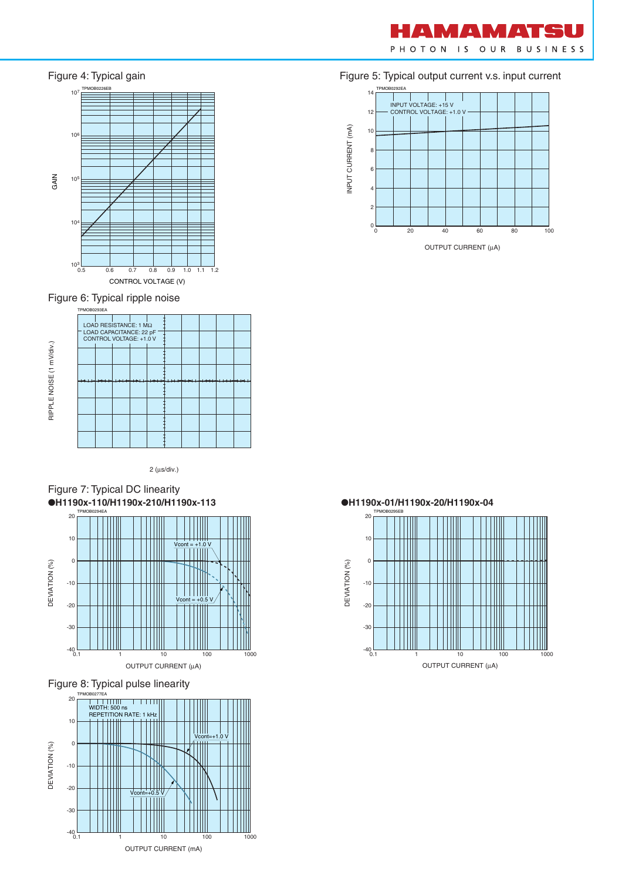



Figure 6: Typical ripple noise



2 (µs/div.)









Figure 5: Typical output current v.s. input current





OUTPUT CURRENT (µA)